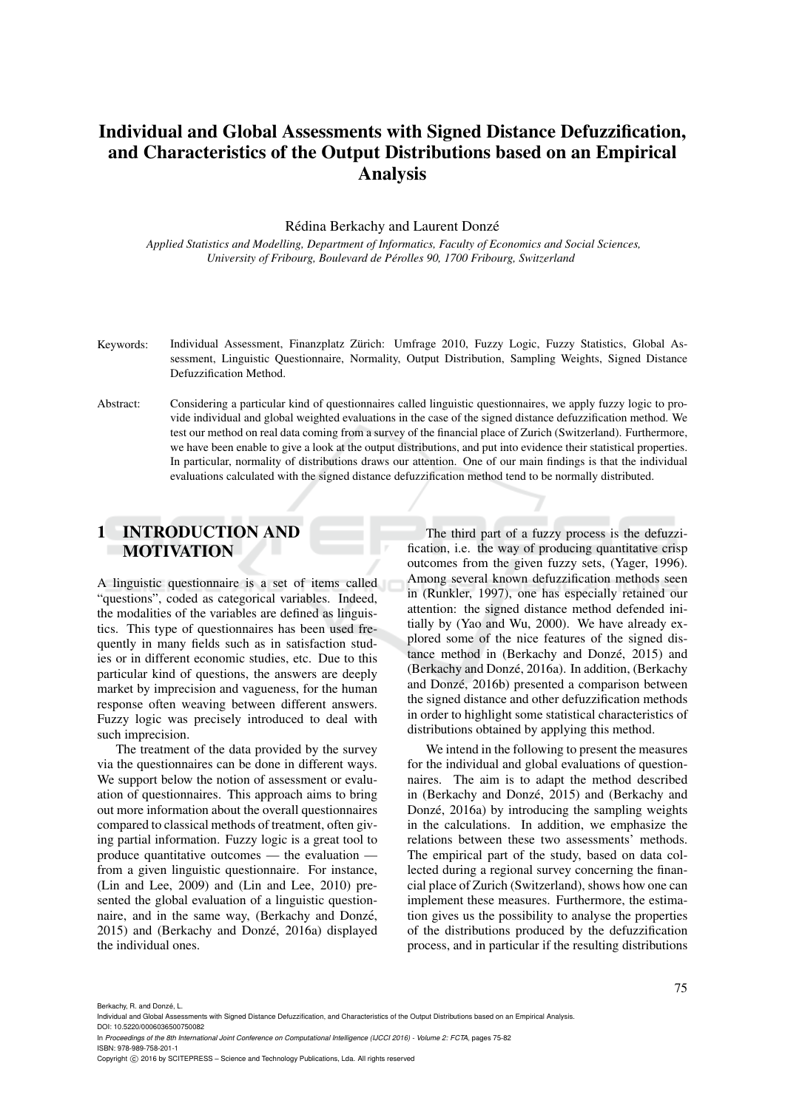# Individual and Global Assessments with Signed Distance Defuzzification, and Characteristics of the Output Distributions based on an Empirical Analysis

#### Rédina Berkachy and Laurent Donzé

*Applied Statistics and Modelling, Department of Informatics, Faculty of Economics and Social Sciences, University of Fribourg, Boulevard de Perolles 90, 1700 Fribourg, Switzerland ´*

- Keywords: Individual Assessment, Finanzplatz Zürich: Umfrage 2010, Fuzzy Logic, Fuzzy Statistics, Global Assessment, Linguistic Questionnaire, Normality, Output Distribution, Sampling Weights, Signed Distance Defuzzification Method.
- Abstract: Considering a particular kind of questionnaires called linguistic questionnaires, we apply fuzzy logic to provide individual and global weighted evaluations in the case of the signed distance defuzzification method. We test our method on real data coming from a survey of the financial place of Zurich (Switzerland). Furthermore, we have been enable to give a look at the output distributions, and put into evidence their statistical properties. In particular, normality of distributions draws our attention. One of our main findings is that the individual evaluations calculated with the signed distance defuzzification method tend to be normally distributed.

## 1 INTRODUCTION AND MOTIVATION

A linguistic questionnaire is a set of items called "questions", coded as categorical variables. Indeed, the modalities of the variables are defined as linguistics. This type of questionnaires has been used frequently in many fields such as in satisfaction studies or in different economic studies, etc. Due to this particular kind of questions, the answers are deeply market by imprecision and vagueness, for the human response often weaving between different answers. Fuzzy logic was precisely introduced to deal with such imprecision.

The treatment of the data provided by the survey via the questionnaires can be done in different ways. We support below the notion of assessment or evaluation of questionnaires. This approach aims to bring out more information about the overall questionnaires compared to classical methods of treatment, often giving partial information. Fuzzy logic is a great tool to produce quantitative outcomes — the evaluation from a given linguistic questionnaire. For instance, (Lin and Lee, 2009) and (Lin and Lee, 2010) presented the global evaluation of a linguistic questionnaire, and in the same way, (Berkachy and Donzé, 2015) and (Berkachy and Donzé, 2016a) displayed the individual ones.

The third part of a fuzzy process is the defuzzification, i.e. the way of producing quantitative crisp outcomes from the given fuzzy sets, (Yager, 1996). Among several known defuzzification methods seen in (Runkler, 1997), one has especially retained our attention: the signed distance method defended initially by (Yao and Wu, 2000). We have already explored some of the nice features of the signed distance method in (Berkachy and Donzé, 2015) and (Berkachy and Donzé, 2016a). In addition, (Berkachy and Donzé, 2016b) presented a comparison between the signed distance and other defuzzification methods in order to highlight some statistical characteristics of distributions obtained by applying this method.

We intend in the following to present the measures for the individual and global evaluations of questionnaires. The aim is to adapt the method described in (Berkachy and Donzé, 2015) and (Berkachy and Donzé,  $2016a$ ) by introducing the sampling weights in the calculations. In addition, we emphasize the relations between these two assessments' methods. The empirical part of the study, based on data collected during a regional survey concerning the financial place of Zurich (Switzerland), shows how one can implement these measures. Furthermore, the estimation gives us the possibility to analyse the properties of the distributions produced by the defuzzification process, and in particular if the resulting distributions

Berkachy, R. and Donzé, L.<br>Individual and Global Asses

ments with Signed Distance Defuzzification, and Characteristics of the Output Distributions based on an Empirical Analysis. DOI: 10.5220/0006036500750082

In *Proceedings of the 8th International Joint Conference on Computational Intelligence (IJCCI 2016) - Volume 2: FCTA*, pages 75-82 ISBN: 978-989-758-201-1

Copyright (C) 2016 by SCITEPRESS - Science and Technology Publications, Lda. All rights reserved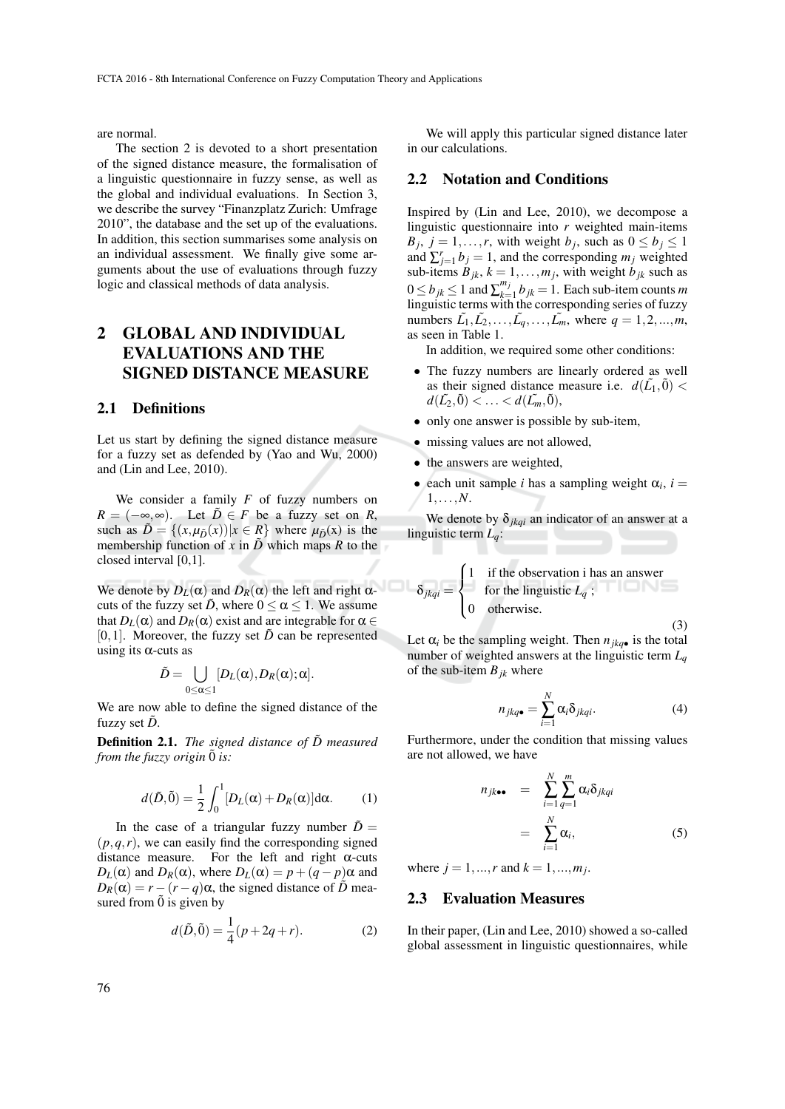are normal.

The section 2 is devoted to a short presentation of the signed distance measure, the formalisation of a linguistic questionnaire in fuzzy sense, as well as the global and individual evaluations. In Section 3, we describe the survey "Finanzplatz Zurich: Umfrage 2010", the database and the set up of the evaluations. In addition, this section summarises some analysis on an individual assessment. We finally give some arguments about the use of evaluations through fuzzy logic and classical methods of data analysis.

## 2 GLOBAL AND INDIVIDUAL EVALUATIONS AND THE SIGNED DISTANCE MEASURE

#### 2.1 Definitions

Let us start by defining the signed distance measure for a fuzzy set as defended by (Yao and Wu, 2000) and (Lin and Lee, 2010).

We consider a family *F* of fuzzy numbers on  $R = (-\infty, \infty)$ . Let  $\tilde{D} \in F$  be a fuzzy set on *R*, such as  $\tilde{D} = \{(x, \mu_{\tilde{D}}(x)) | x \in R \}$  where  $\mu_{\tilde{D}}(x)$  is the membership function of *x* in  $\tilde{D}$  which maps *R* to the closed interval [0,1].

We denote by  $D_L(\alpha)$  and  $D_R(\alpha)$  the left and right  $\alpha$ cuts of the fuzzy set  $\tilde{D}$ , where  $0 \le \alpha \le 1$ . We assume that  $D_L(\alpha)$  and  $D_R(\alpha)$  exist and are integrable for  $\alpha \in$ [0,1]. Moreover, the fuzzy set  $\tilde{D}$  can be represented using its  $\alpha$ -cuts as

$$
\tilde{D} = \bigcup_{0 \leq \alpha \leq 1} [D_L(\alpha), D_R(\alpha); \alpha].
$$

We are now able to define the signed distance of the fuzzy set  $\ddot{D}$ .

**Definition 2.1.** *The signed distance of*  $\tilde{D}$  *measured from the fuzzy origin*  $\tilde{0}$  *is:* 

$$
d(\tilde{D}, \tilde{0}) = \frac{1}{2} \int_0^1 [D_L(\alpha) + D_R(\alpha)] d\alpha.
$$
 (1)

In the case of a triangular fuzzy number  $\tilde{D}$  =  $(p,q,r)$ , we can easily find the corresponding signed distance measure. For the left and right  $\alpha$ -cuts  $D_L(\alpha)$  and  $D_R(\alpha)$ , where  $D_L(\alpha) = p + (q - p)\alpha$  and  $D_R(\alpha) = r - (r - q)\alpha$ , the signed distance of  $\tilde{D}$  measured from  $\tilde{0}$  is given by

$$
d(\tilde{D}, \tilde{0}) = \frac{1}{4}(p + 2q + r).
$$
 (2)

We will apply this particular signed distance later in our calculations.

### 2.2 Notation and Conditions

Inspired by (Lin and Lee, 2010), we decompose a linguistic questionnaire into *r* weighted main-items  $B_j$ ,  $j = 1, \ldots, r$ , with weight *b<sub>j</sub>*, such as  $0 \le b_j \le 1$ and  $\sum_{j=1}^{r} b_j = 1$ , and the corresponding  $m_j$  weighted sub-items  $B_{jk}$ ,  $k = 1, \ldots, m_j$ , with weight  $b_{jk}$  such as  $0 \le b_{jk} \le 1$  and  $\sum_{k=1}^{m_j}$  $\binom{m_j}{k=1}$  *b*<sub>jk</sub> = 1. Each sub-item counts *m* linguistic terms with the corresponding series of fuzzy numbers  $\tilde{L}_1, \tilde{L}_2, \ldots, \tilde{L}_q, \ldots, \tilde{L}_m$ , where  $q = 1, 2, \ldots, m$ , as seen in Table 1.

In addition, we required some other conditions:

- The fuzzy numbers are linearly ordered as well as their signed distance measure i.e.  $d(\tilde{L_1}, \tilde{0}) <$  $d(\tilde{L_2}, \tilde{0}) < ... < d(\tilde{L_m}, \tilde{0}),$
- only one answer is possible by sub-item,
- missing values are not allowed,
- the answers are weighted,
- each unit sample *i* has a sampling weight  $\alpha_i$ , *i* = 1,...,*N*.

We denote by  $\delta_{jkqi}$  an indicator of an answer at a linguistic term *Lq*:

$$
\delta_{jkqi} = \begin{cases}\n1 & \text{if the observation i has an answer} \\
6 & \text{otherwise.} \\
1 & \text{otherwise.} \n\end{cases}
$$
\n(3)

Let  $\alpha_i$  be the sampling weight. Then  $n_{ikq\bullet}$  is the total number of weighted answers at the linguistic term *L<sup>q</sup>* of the sub-item  $B_{ik}$  where

$$
n_{jkq\bullet} = \sum_{i=1}^{N} \alpha_i \delta_{jkqi}.
$$
 (4)

Furthermore, under the condition that missing values are not allowed, we have

$$
n_{jk\bullet\bullet} = \sum_{i=1}^{N} \sum_{q=1}^{m} \alpha_i \delta_{jkqi}
$$
  
= 
$$
\sum_{i=1}^{N} \alpha_i,
$$
 (5)

where  $j = 1, ..., r$  and  $k = 1, ..., m_j$ .

### 2.3 Evaluation Measures

In their paper, (Lin and Lee, 2010) showed a so-called global assessment in linguistic questionnaires, while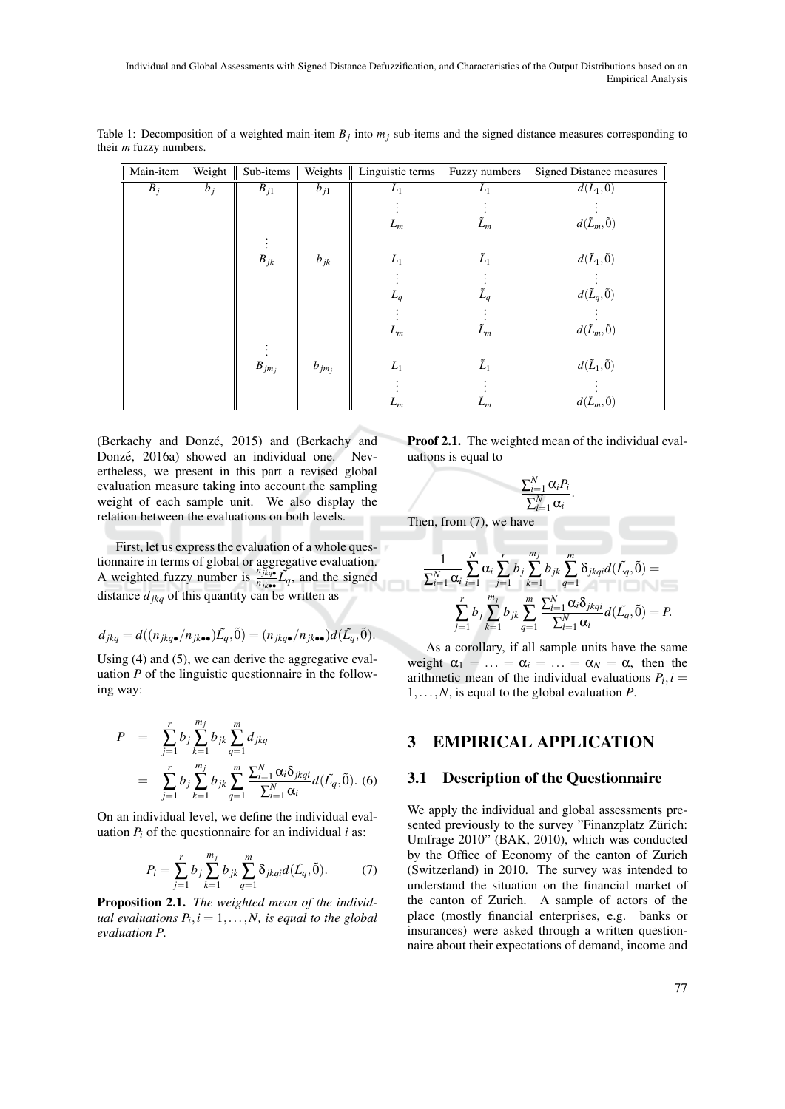| Main-item | Weight | Sub-items  | Weights    | Linguistic terms | Fuzzy numbers | <b>Signed Distance measures</b> |
|-----------|--------|------------|------------|------------------|---------------|---------------------------------|
| $B_j$     | $b_j$  | $B_{j1}$   | $b_{j1}$   | $L_1$            | $L_1$         | $d(\tilde{L}_1,\tilde{0})$      |
|           |        |            |            |                  |               |                                 |
|           |        |            |            | $L_m$            | $\tilde{L}_m$ | $d(\tilde{L}_m, \tilde{0})$     |
|           |        |            |            |                  |               |                                 |
|           |        | $B_{jk}$   | $b_{jk}$   | $L_1$            | $\tilde{L}_1$ | $d(\tilde{L}_1,\tilde{0})$      |
|           |        |            |            |                  |               |                                 |
|           |        |            |            | $L_q$            | $\tilde{L}_q$ | $d(\tilde{L}_q,\tilde{0})$      |
|           |        |            |            |                  |               |                                 |
|           |        |            |            | $L_m$            | $\tilde{L}_m$ | $d(\tilde{L}_m,\tilde{0})$      |
|           |        |            |            |                  |               |                                 |
|           |        | $B_{jm_j}$ | $b_{jm_j}$ | $L_1$            | $\tilde{L}_1$ | $d(\tilde{L}_1,\tilde{0})$      |
|           |        |            |            |                  |               |                                 |
|           |        |            |            | $L_m$            | $\tilde{L}_m$ | $d(\tilde{L}_m, \tilde{0})$     |

Table 1: Decomposition of a weighted main-item  $B_j$  into  $m_j$  sub-items and the signed distance measures corresponding to their *m* fuzzy numbers.

(Berkachy and Donzé, 2015) and (Berkachy and Donzé, 2016a) showed an individual one. Nevertheless, we present in this part a revised global evaluation measure taking into account the sampling weight of each sample unit. We also display the relation between the evaluations on both levels.

First, let us express the evaluation of a whole questionnaire in terms of global or aggregative evaluation. A weighted fuzzy number is  $\frac{n_{jkq}}{n_{jk}}$ *i*<sub>fk</sub>**.**  $L_q$ , and the signed distance  $d_{jkq}$  of this quantity can be written as

$$
d_{jkq} = d((n_{jkq\bullet}/n_{jk\bullet\bullet})\tilde{L_q}, \tilde{0}) = (n_{jkq\bullet}/n_{jk\bullet\bullet})d(\tilde{L_q}, \tilde{0}).
$$

Using (4) and (5), we can derive the aggregative evaluation *P* of the linguistic questionnaire in the following way:

$$
P = \sum_{j=1}^{r} b_j \sum_{k=1}^{m_j} b_{jk} \sum_{q=1}^{m} d_{jkq}
$$
  
= 
$$
\sum_{j=1}^{r} b_j \sum_{k=1}^{m_j} b_{jk} \sum_{q=1}^{m} \frac{\sum_{i=1}^{N} \alpha_i \delta_{jkqi}}{\sum_{i=1}^{N} \alpha_i} d(\tilde{L_q}, \tilde{0}).
$$
 (6)

On an individual level, we define the individual evaluation  $P_i$  of the questionnaire for an individual  $i$  as:

$$
P_i = \sum_{j=1}^{r} b_j \sum_{k=1}^{m_j} b_{jk} \sum_{q=1}^{m} \delta_{jkqi} d(\tilde{L_q}, \tilde{0}).
$$
 (7)

Proposition 2.1. *The weighted mean of the individual evaluations*  $P_i$ ,  $i = 1, \ldots, N$ , *is equal to the global evaluation P.*

Proof 2.1. The weighted mean of the individual evaluations is equal to

$$
\frac{\sum_{i=1}^N \alpha_i P_i}{\sum_{i=1}^N \alpha_i}.
$$

Then, from (7), we have

$$
\frac{1}{\sum_{i=1}^{N} \alpha_i} \sum_{i=1}^{N} \alpha_i \sum_{j=1}^{r} b_j \sum_{k=1}^{m_j} b_{jk} \sum_{q=1}^{m} \delta_{jkqi} d(\tilde{L_q}, \tilde{0}) = \\ \sum_{j=1}^{r} b_j \sum_{k=1}^{m_j} b_{jk} \sum_{q=1}^{m} \frac{\sum_{i=1}^{N} \alpha_i \delta_{jkqi}}{\sum_{i=1}^{N} \alpha_i} d(\tilde{L_q}, \tilde{0}) = P.
$$

As a corollary, if all sample units have the same weight  $\alpha_1 = \ldots = \alpha_i = \ldots = \alpha_N = \alpha$ , then the arithmetic mean of the individual evaluations  $P_i$ ,  $i =$ 1,...,*N*, is equal to the global evaluation *P*.

## 3 EMPIRICAL APPLICATION

### 3.1 Description of the Questionnaire

We apply the individual and global assessments presented previously to the survey "Finanzplatz Zürich: Umfrage 2010" (BAK, 2010), which was conducted by the Office of Economy of the canton of Zurich (Switzerland) in 2010. The survey was intended to understand the situation on the financial market of the canton of Zurich. A sample of actors of the place (mostly financial enterprises, e.g. banks or insurances) were asked through a written questionnaire about their expectations of demand, income and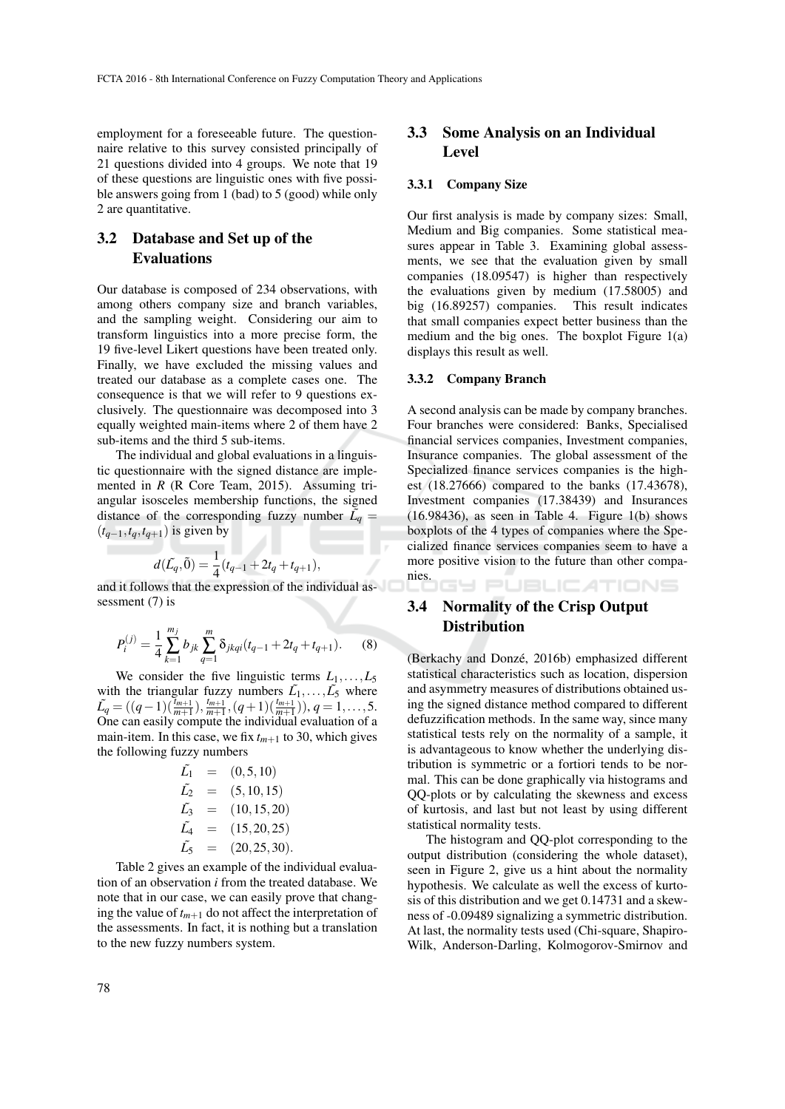employment for a foreseeable future. The questionnaire relative to this survey consisted principally of 21 questions divided into 4 groups. We note that 19 of these questions are linguistic ones with five possible answers going from 1 (bad) to 5 (good) while only 2 are quantitative.

## 3.2 Database and Set up of the Evaluations

Our database is composed of 234 observations, with among others company size and branch variables, and the sampling weight. Considering our aim to transform linguistics into a more precise form, the 19 five-level Likert questions have been treated only. Finally, we have excluded the missing values and treated our database as a complete cases one. The consequence is that we will refer to 9 questions exclusively. The questionnaire was decomposed into 3 equally weighted main-items where 2 of them have 2 sub-items and the third 5 sub-items.

The individual and global evaluations in a linguistic questionnaire with the signed distance are implemented in *R* (R Core Team, 2015). Assuming triangular isosceles membership functions, the signed distance of the corresponding fuzzy number  $\tilde{L_q}$  =  $(t_{q-1}, t_q, t_{q+1})$  is given by

$$
d(\tilde{L_q}, \tilde{0}) = \frac{1}{4}(t_{q-1} + 2t_q + t_{q+1}),
$$

and it follows that the expression of the individual assessment (7) is

$$
P_i^{(j)} = \frac{1}{4} \sum_{k=1}^{m_j} b_{jk} \sum_{q=1}^{m} \delta_{jkqi} (t_{q-1} + 2t_q + t_{q+1}).
$$
 (8)

We consider the five linguistic terms  $L_1, \ldots, L_5$ with the triangular fuzzy numbers  $\tilde{L_1}, \ldots, \tilde{L_5}$  where  $\tilde{L_q} = ((q-1)(\frac{\tilde{L}_{m+1}}{m+1}), \frac{t_{m+1}}{m+1}, (q+1)(\frac{t_{m+1}}{m+1})), q = 1, \ldots, 5.$ One can easily compute the individual evaluation of a main-item. In this case, we fix  $t_{m+1}$  to 30, which gives the following fuzzy numbers

$$
\begin{array}{rcl}\n\tilde{L_1} & = & (0,5,10) \\
\tilde{L_2} & = & (5,10,15) \\
\tilde{L_3} & = & (10,15,20) \\
\tilde{L_4} & = & (15,20,25) \\
\tilde{L_5} & = & (20,25,30).\n\end{array}
$$

Table 2 gives an example of the individual evaluation of an observation *i* from the treated database. We note that in our case, we can easily prove that changing the value of  $t_{m+1}$  do not affect the interpretation of the assessments. In fact, it is nothing but a translation to the new fuzzy numbers system.

### 3.3 Some Analysis on an Individual Level

#### 3.3.1 Company Size

Our first analysis is made by company sizes: Small, Medium and Big companies. Some statistical measures appear in Table 3. Examining global assessments, we see that the evaluation given by small companies (18.09547) is higher than respectively the evaluations given by medium (17.58005) and big (16.89257) companies. This result indicates that small companies expect better business than the medium and the big ones. The boxplot Figure 1(a) displays this result as well.

#### 3.3.2 Company Branch

A second analysis can be made by company branches. Four branches were considered: Banks, Specialised financial services companies, Investment companies, Insurance companies. The global assessment of the Specialized finance services companies is the highest (18.27666) compared to the banks (17.43678), Investment companies (17.38439) and Insurances  $(16.98436)$ , as seen in Table 4. Figure  $1(b)$  shows boxplots of the 4 types of companies where the Specialized finance services companies seem to have a more positive vision to the future than other companies.

#### **SY PUBLICATIONS**

## 3.4 Normality of the Crisp Output **Distribution**

(Berkachy and Donzé, 2016b) emphasized different statistical characteristics such as location, dispersion and asymmetry measures of distributions obtained using the signed distance method compared to different defuzzification methods. In the same way, since many statistical tests rely on the normality of a sample, it is advantageous to know whether the underlying distribution is symmetric or a fortiori tends to be normal. This can be done graphically via histograms and QQ-plots or by calculating the skewness and excess of kurtosis, and last but not least by using different statistical normality tests.

The histogram and QQ-plot corresponding to the output distribution (considering the whole dataset), seen in Figure 2, give us a hint about the normality hypothesis. We calculate as well the excess of kurtosis of this distribution and we get 0.14731 and a skewness of -0.09489 signalizing a symmetric distribution. At last, the normality tests used (Chi-square, Shapiro-Wilk, Anderson-Darling, Kolmogorov-Smirnov and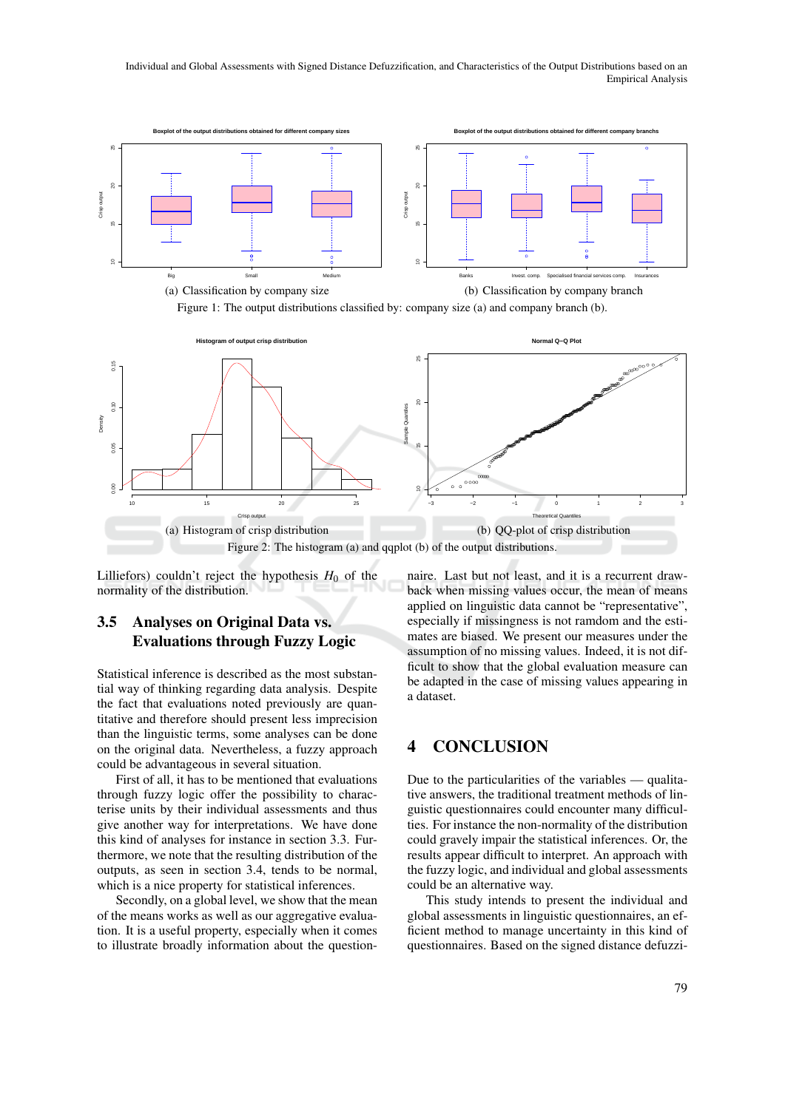Individual and Global Assessments with Signed Distance Defuzzification, and Characteristics of the Output Distributions based on an Empirical Analysis







Lilliefors) couldn't reject the hypothesis  $H_0$  of the normality of the distribution.

## 3.5 Analyses on Original Data vs. Evaluations through Fuzzy Logic

Statistical inference is described as the most substantial way of thinking regarding data analysis. Despite the fact that evaluations noted previously are quantitative and therefore should present less imprecision than the linguistic terms, some analyses can be done on the original data. Nevertheless, a fuzzy approach could be advantageous in several situation.

First of all, it has to be mentioned that evaluations through fuzzy logic offer the possibility to characterise units by their individual assessments and thus give another way for interpretations. We have done this kind of analyses for instance in section 3.3. Furthermore, we note that the resulting distribution of the outputs, as seen in section 3.4, tends to be normal, which is a nice property for statistical inferences.

Secondly, on a global level, we show that the mean of the means works as well as our aggregative evaluation. It is a useful property, especially when it comes to illustrate broadly information about the question-

naire. Last but not least, and it is a recurrent drawback when missing values occur, the mean of means applied on linguistic data cannot be "representative", especially if missingness is not ramdom and the estimates are biased. We present our measures under the assumption of no missing values. Indeed, it is not difficult to show that the global evaluation measure can be adapted in the case of missing values appearing in a dataset.

## 4 CONCLUSION

Due to the particularities of the variables — qualitative answers, the traditional treatment methods of linguistic questionnaires could encounter many difficulties. For instance the non-normality of the distribution could gravely impair the statistical inferences. Or, the results appear difficult to interpret. An approach with the fuzzy logic, and individual and global assessments could be an alternative way.

This study intends to present the individual and global assessments in linguistic questionnaires, an efficient method to manage uncertainty in this kind of questionnaires. Based on the signed distance defuzzi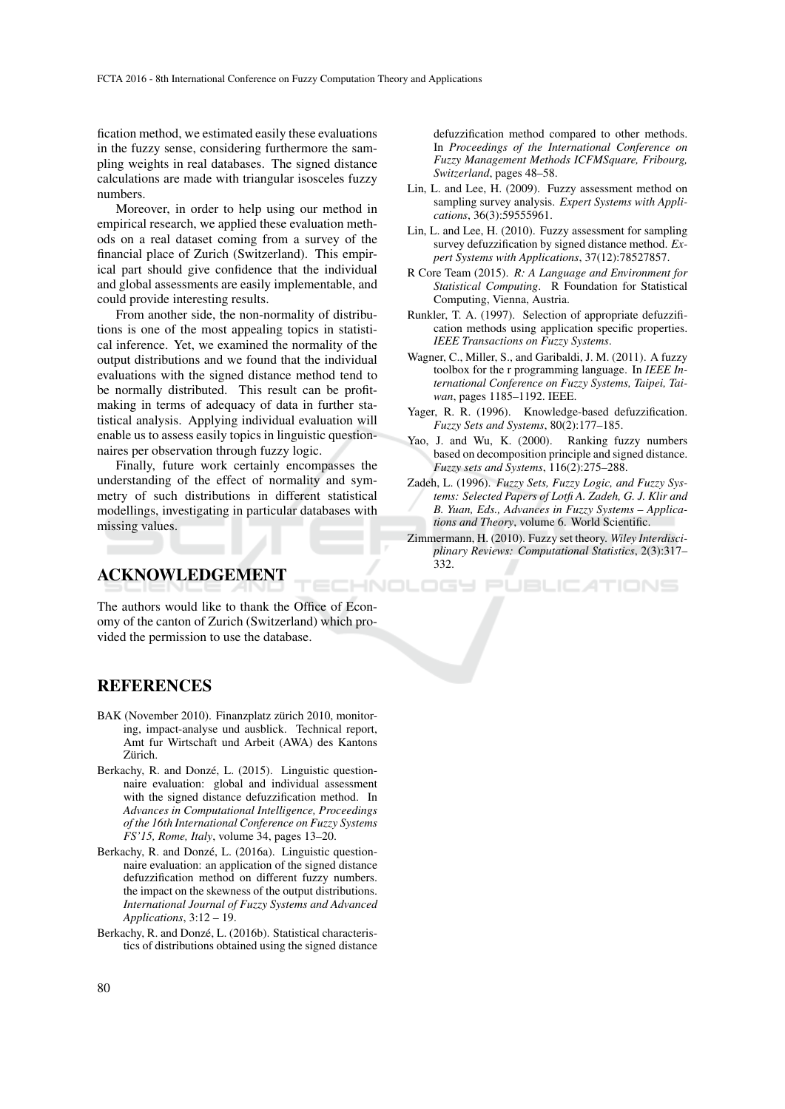fication method, we estimated easily these evaluations in the fuzzy sense, considering furthermore the sampling weights in real databases. The signed distance calculations are made with triangular isosceles fuzzy numbers.

Moreover, in order to help using our method in empirical research, we applied these evaluation methods on a real dataset coming from a survey of the financial place of Zurich (Switzerland). This empirical part should give confidence that the individual and global assessments are easily implementable, and could provide interesting results.

From another side, the non-normality of distributions is one of the most appealing topics in statistical inference. Yet, we examined the normality of the output distributions and we found that the individual evaluations with the signed distance method tend to be normally distributed. This result can be profitmaking in terms of adequacy of data in further statistical analysis. Applying individual evaluation will enable us to assess easily topics in linguistic questionnaires per observation through fuzzy logic.

Finally, future work certainly encompasses the understanding of the effect of normality and symmetry of such distributions in different statistical modellings, investigating in particular databases with missing values.

## ACKNOWLEDGEMENT

The authors would like to thank the Office of Economy of the canton of Zurich (Switzerland) which provided the permission to use the database.

defuzzification method compared to other methods. In *Proceedings of the International Conference on Fuzzy Management Methods ICFMSquare, Fribourg, Switzerland*, pages 48–58.

- Lin, L. and Lee, H. (2009). Fuzzy assessment method on sampling survey analysis. *Expert Systems with Applications*, 36(3):59555961.
- Lin, L. and Lee, H. (2010). Fuzzy assessment for sampling survey defuzzification by signed distance method. *Expert Systems with Applications*, 37(12):78527857.
- R Core Team (2015). *R: A Language and Environment for Statistical Computing*. R Foundation for Statistical Computing, Vienna, Austria.
- Runkler, T. A. (1997). Selection of appropriate defuzzification methods using application specific properties. *IEEE Transactions on Fuzzy Systems*.
- Wagner, C., Miller, S., and Garibaldi, J. M. (2011). A fuzzy toolbox for the r programming language. In *IEEE International Conference on Fuzzy Systems, Taipei, Taiwan*, pages 1185–1192. IEEE.
- Yager, R. R. (1996). Knowledge-based defuzzification. *Fuzzy Sets and Systems*, 80(2):177–185.
- Yao, J. and Wu, K. (2000). Ranking fuzzy numbers based on decomposition principle and signed distance. *Fuzzy sets and Systems*, 116(2):275–288.
- Zadeh, L. (1996). *Fuzzy Sets, Fuzzy Logic, and Fuzzy Systems: Selected Papers of Lotfi A. Zadeh, G. J. Klir and B. Yuan, Eds., Advances in Fuzzy Systems – Applications and Theory*, volume 6. World Scientific.
- Zimmermann, H. (2010). Fuzzy set theory. *Wiley Interdisciplinary Reviews: Computational Statistics*, 2(3):317– 332.

**JBLICATIONS** 

## **REFERENCES**

- BAK (November 2010). Finanzplatz zürich 2010, monitoring, impact-analyse und ausblick. Technical report, Amt fur Wirtschaft und Arbeit (AWA) des Kantons Zürich.
- Berkachy, R. and Donzé, L. (2015). Linguistic questionnaire evaluation: global and individual assessment with the signed distance defuzzification method. In *Advances in Computational Intelligence, Proceedings of the 16th International Conference on Fuzzy Systems FS'15, Rome, Italy*, volume 34, pages 13–20.
- Berkachy, R. and Donzé, L. (2016a). Linguistic questionnaire evaluation: an application of the signed distance defuzzification method on different fuzzy numbers. the impact on the skewness of the output distributions. *International Journal of Fuzzy Systems and Advanced Applications*, 3:12 – 19.
- Berkachy, R. and Donzé, L. (2016b). Statistical characteristics of distributions obtained using the signed distance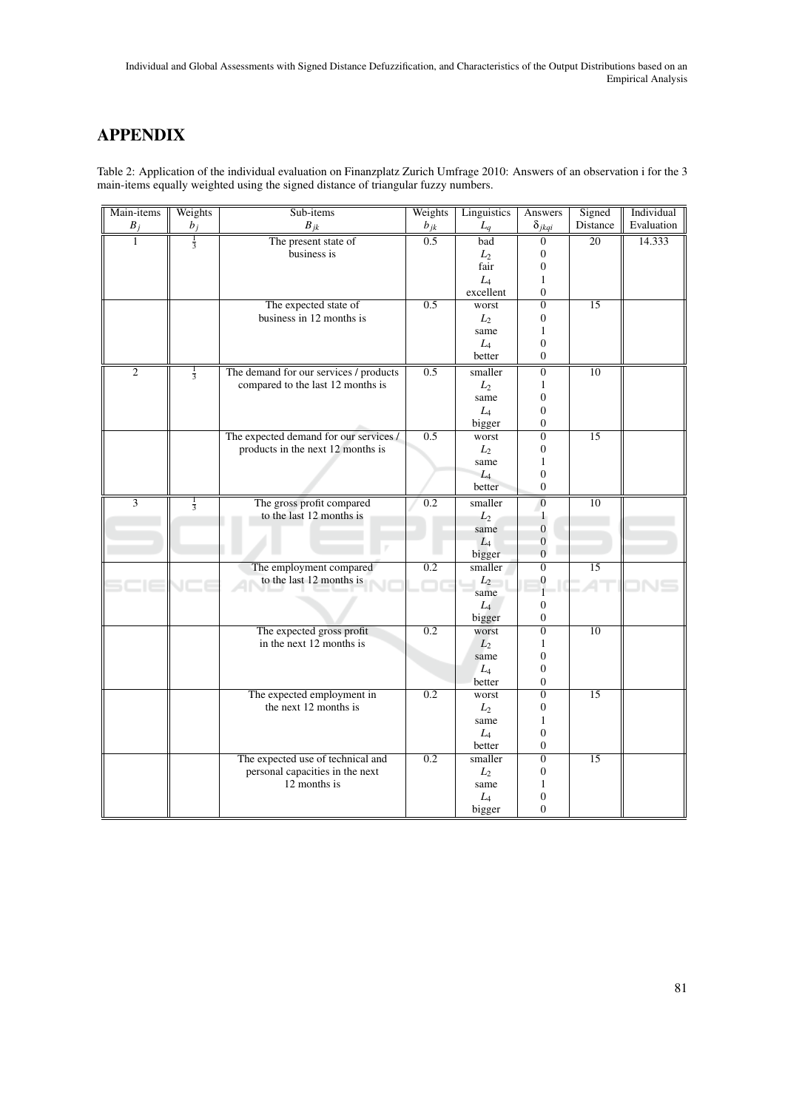# APPENDIX

Table 2: Application of the individual evaluation on Finanzplatz Zurich Umfrage 2010: Answers of an observation i for the 3 main-items equally weighted using the signed distance of triangular fuzzy numbers.

| Main-items                | Weights       | Sub-items                              | Weights          | Linguistics     | Answers                              | Signed          | Individual |
|---------------------------|---------------|----------------------------------------|------------------|-----------------|--------------------------------------|-----------------|------------|
| $B_j$                     | $b_j$         | $B_{jk}$                               | $b_{jk}$         | $L_q$           | $\delta_{jkqi}$                      | Distance        | Evaluation |
| $\mathbf{1}$              | $\frac{1}{3}$ | The present state of                   | 0.5              | bad             | $\boldsymbol{0}$                     | 20              | 14.333     |
|                           |               | business is                            |                  | $L_2$           | $\boldsymbol{0}$                     |                 |            |
|                           |               |                                        |                  | fair            | $\boldsymbol{0}$                     |                 |            |
|                           |               |                                        |                  | $L_4$           | $\mathbf{1}$                         |                 |            |
|                           |               |                                        |                  | excellent       | $\overline{0}$                       |                 |            |
|                           |               | The expected state of                  | 0.5              | worst           | $\overline{0}$                       | $\overline{15}$ |            |
|                           |               | business in 12 months is               |                  | $L_2$           | $\boldsymbol{0}$                     |                 |            |
|                           |               |                                        |                  | same            | $\mathbf{1}$                         |                 |            |
|                           |               |                                        |                  | $L_4$           | $\boldsymbol{0}$                     |                 |            |
|                           |               |                                        |                  | better          | $\boldsymbol{0}$                     |                 |            |
| $\overline{2}$            | $\frac{1}{3}$ | The demand for our services / products | 0.5              | smaller         | $\overline{0}$                       | $\overline{10}$ |            |
|                           |               | compared to the last 12 months is      |                  | $L_2$           | $\mathbf{1}$                         |                 |            |
|                           |               |                                        |                  | same            | $\boldsymbol{0}$                     |                 |            |
|                           |               |                                        |                  | $L_4$           | $\boldsymbol{0}$                     |                 |            |
|                           |               |                                        |                  | bigger          | $\boldsymbol{0}$                     |                 |            |
|                           |               | The expected demand for our services / | 0.5              | worst           | $\overline{0}$                       | $\overline{15}$ |            |
|                           |               | products in the next 12 months is      |                  | $L_2$           | $\boldsymbol{0}$                     |                 |            |
|                           |               |                                        |                  | same            | $\mathbf{1}$                         |                 |            |
|                           |               |                                        |                  | $L_4$           | $\boldsymbol{0}$                     |                 |            |
|                           |               |                                        |                  | better          | $\boldsymbol{0}$                     |                 |            |
| $\overline{\overline{3}}$ | $\frac{1}{3}$ | The gross profit compared              | 0.2              | smaller         | $\mathbf{0}$                         | 10              |            |
|                           |               | to the last 12 months is               |                  | $L_2$           | $\mathbf{1}$                         |                 |            |
|                           |               |                                        |                  | same            | $\boldsymbol{0}$                     |                 |            |
|                           |               |                                        |                  | $L_4$           | $\overline{0}$                       |                 |            |
|                           |               |                                        |                  | bigger          | $\boldsymbol{0}$                     |                 |            |
|                           |               | The employment compared                | 0.2              | smaller         | $\overline{0}$                       | $\overline{15}$ |            |
|                           |               | to the last 12 months is               |                  | $L_2$           | $\boldsymbol{0}$<br>$\mathbf{1}$     |                 |            |
|                           |               |                                        |                  | same            |                                      |                 |            |
|                           |               |                                        |                  | $L_4$           | $\boldsymbol{0}$<br>$\boldsymbol{0}$ |                 |            |
|                           |               | The expected gross profit              | $\overline{0.2}$ | bigger<br>worst | $\overline{0}$                       | $\overline{10}$ |            |
|                           |               | in the next 12 months is               |                  | $L_2$           | $\mathbf{1}$                         |                 |            |
|                           |               |                                        |                  | same            | $\boldsymbol{0}$                     |                 |            |
|                           |               |                                        |                  | $L_4$           | $\boldsymbol{0}$                     |                 |            |
|                           |               |                                        |                  | better          | $\boldsymbol{0}$                     |                 |            |
|                           |               | The expected employment in             | 0.2              | worst           | $\overline{0}$                       | 15              |            |
|                           |               | the next 12 months is                  |                  | $L_2$           | $\boldsymbol{0}$                     |                 |            |
|                           |               |                                        |                  | same            | $\mathbf{1}$                         |                 |            |
|                           |               |                                        |                  | $L_4$           | $\boldsymbol{0}$                     |                 |            |
|                           |               |                                        |                  | better          | $\boldsymbol{0}$                     |                 |            |
|                           |               | The expected use of technical and      | 0.2              | smaller         | $\boldsymbol{0}$                     | 15              |            |
|                           |               | personal capacities in the next        |                  | $L_2$           | $\boldsymbol{0}$                     |                 |            |
|                           |               | 12 months is                           |                  | same            | 1                                    |                 |            |
|                           |               |                                        |                  | $L_4$           | 0                                    |                 |            |
|                           |               |                                        |                  | bigger          | $\theta$                             |                 |            |